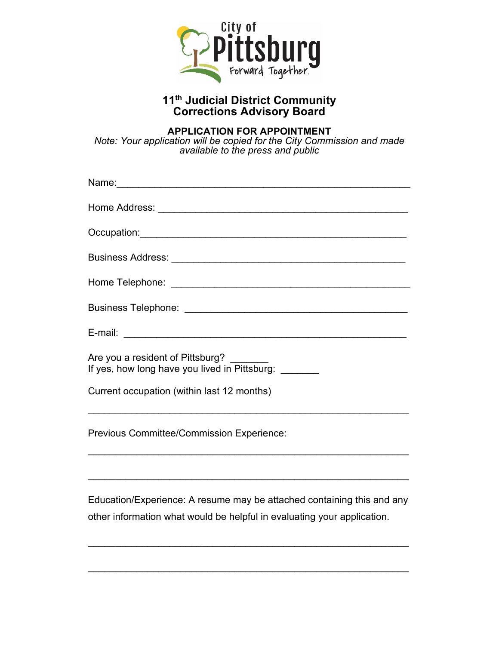

## **11th Judicial District Community Corrections Advisory Board**

## **APPLICATION FOR APPOINTMENT**

*Note: Your application will be copied for the City Commission and made available to the press and public* 

| Are you a resident of Pittsburg?<br>If yes, how long have you lived in Pittsburg: _______                                                         |
|---------------------------------------------------------------------------------------------------------------------------------------------------|
| Current occupation (within last 12 months)<br><u> 1989 - Johann Stoff, amerikansk politiker (d. 1989)</u>                                         |
| Previous Committee/Commission Experience:                                                                                                         |
| <u> 1999 - Johann John Stoff, deutscher Stoffen und der Stoffen und der Stoffen und der Stoffen und der Stoffen</u>                               |
| Education/Experience: A resume may be attached containing this and any<br>other information what would be helpful in evaluating your application. |

\_\_\_\_\_\_\_\_\_\_\_\_\_\_\_\_\_\_\_\_\_\_\_\_\_\_\_\_\_\_\_\_\_\_\_\_\_\_\_\_\_\_\_\_\_\_\_\_\_\_\_\_\_\_\_\_\_\_\_

\_\_\_\_\_\_\_\_\_\_\_\_\_\_\_\_\_\_\_\_\_\_\_\_\_\_\_\_\_\_\_\_\_\_\_\_\_\_\_\_\_\_\_\_\_\_\_\_\_\_\_\_\_\_\_\_\_\_\_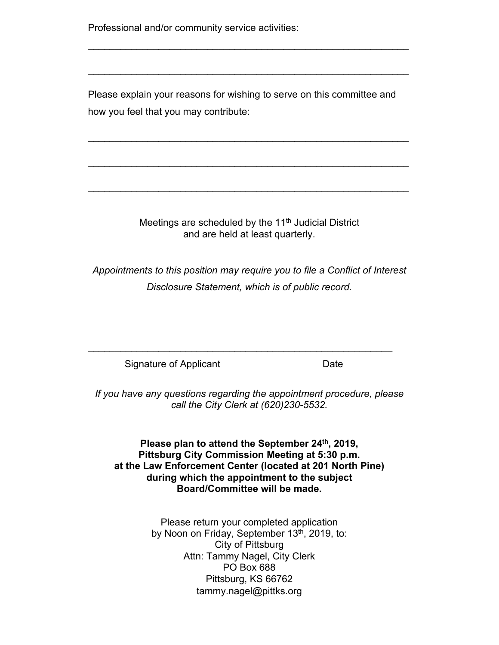Professional and/or community service activities:

Please explain your reasons for wishing to serve on this committee and how you feel that you may contribute:

\_\_\_\_\_\_\_\_\_\_\_\_\_\_\_\_\_\_\_\_\_\_\_\_\_\_\_\_\_\_\_\_\_\_\_\_\_\_\_\_\_\_\_\_\_\_\_\_\_\_\_\_\_\_\_\_\_\_\_

\_\_\_\_\_\_\_\_\_\_\_\_\_\_\_\_\_\_\_\_\_\_\_\_\_\_\_\_\_\_\_\_\_\_\_\_\_\_\_\_\_\_\_\_\_\_\_\_\_\_\_\_\_\_\_\_\_\_\_

\_\_\_\_\_\_\_\_\_\_\_\_\_\_\_\_\_\_\_\_\_\_\_\_\_\_\_\_\_\_\_\_\_\_\_\_\_\_\_\_\_\_\_\_\_\_\_\_\_\_\_\_\_\_\_\_\_\_\_

 $\mathcal{L}_\text{max}$  , and the contribution of the contribution of the contribution of the contribution of the contribution of the contribution of the contribution of the contribution of the contribution of the contribution of t

 $\mathcal{L}_\text{max}$  , and the contribution of the contribution of the contribution of the contribution of the contribution of the contribution of the contribution of the contribution of the contribution of the contribution of t

Meetings are scheduled by the  $11<sup>th</sup>$  Judicial District and are held at least quarterly.

*Appointments to this position may require you to file a Conflict of Interest Disclosure Statement, which is of public record.* 

Signature of Applicant **Date** Date

*If you have any questions regarding the appointment procedure, please call the City Clerk at (620)230-5532.* 

 $\mathcal{L}_\text{max}$  , and the contract of the contract of the contract of the contract of the contract of the contract of the contract of the contract of the contract of the contract of the contract of the contract of the contr

Please plan to attend the September 24<sup>th</sup>, 2019, **Pittsburg City Commission Meeting at 5:30 p.m. at the Law Enforcement Center (located at 201 North Pine) during which the appointment to the subject Board/Committee will be made.**

> Please return your completed application by Noon on Friday, September 13<sup>th</sup>, 2019, to: City of Pittsburg Attn: Tammy Nagel, City Clerk PO Box 688 Pittsburg, KS 66762 tammy.nagel@pittks.org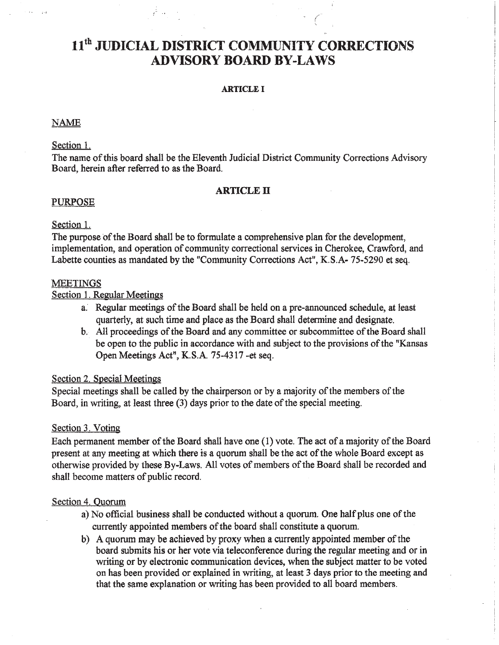# 11<sup>th</sup> JUDICIAL DISTRICT COMMUNITY CORRECTIONS **ADVISORY BOARD BY-LAWS**

#### **ARTICLE I**

#### **NAME**

## Section 1.

The name of this board shall be the Eleventh Judicial District Community Corrections Advisory Board, herein after referred to as the Board.

#### **ARTICLE II**

## **PURPOSE**

## Section 1.

The purpose of the Board shall be to formulate a comprehensive plan for the development, implementation, and operation of community correctional services in Cherokee, Crawford, and Labette counties as mandated by the "Community Corrections Act", K.S.A- 75-5290 et seq.

#### **MEETINGS**

## Section 1. Regular Meetings

- a. Regular meetings of the Board shall be held on a pre-announced schedule, at least quarterly, at such time and place as the Board shall determine and designate.
- b. All proceedings of the Board and any committee or subcommittee of the Board shall be open to the public in accordance with and subject to the provisions of the "Kansas" Open Meetings Act", K.S.A. 75-4317 -et seq.

#### Section 2. Special Meetings

Special meetings shall be called by the chairperson or by a majority of the members of the Board, in writing, at least three (3) days prior to the date of the special meeting.

#### Section 3. Voting

Each permanent member of the Board shall have one (1) vote. The act of a majority of the Board present at any meeting at which there is a quorum shall be the act of the whole Board except as otherwise provided by these By-Laws. All votes of members of the Board shall be recorded and shall become matters of public record.

## Section 4. Quorum

- a) No official business shall be conducted without a quorum. One half plus one of the currently appointed members of the board shall constitute a quorum.
- b) A quorum may be achieved by proxy when a currently appointed member of the board submits his or her vote via teleconference during the regular meeting and or in writing or by electronic communication devices, when the subject matter to be voted on has been provided or explained in writing, at least 3 days prior to the meeting and that the same explanation or writing has been provided to all board members.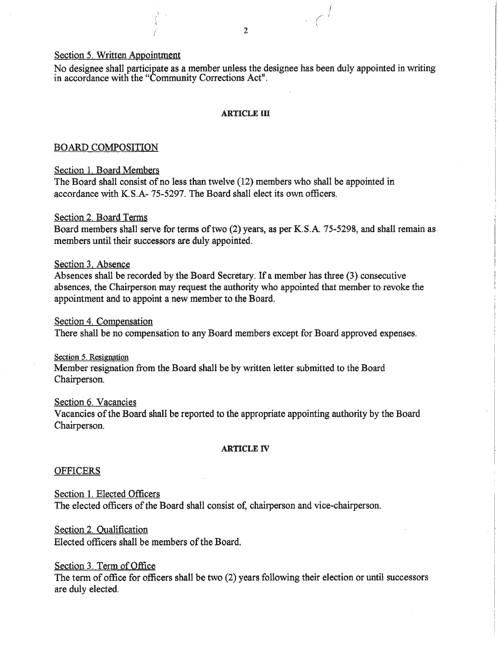#### Section 5. Written Appointment

No designee shall participate as a member unless the designee has been duly appointed in writing in accordance with the "Community Corrections Act".

#### **ARTICLE III**

#### **BOARD COMPOSITION**

#### Section 1. Board Members

The Board shall consist of no less than twelve (12) members who shall be appointed in accordance with K.S.A-75-5297. The Board shall elect its own officers.

#### Section 2. Board Terms

Board members shall serve for terms of two (2) years, as per K.S.A. 75-5298, and shall remain as members until their successors are duly appointed.

## Section 3, Absence

Absences shall be recorded by the Board Secretary. If a member has three (3) consecutive absences, the Chairperson may request the authority who appointed that member to revoke the appointment and to appoint a new member to the Board.

#### Section 4. Compensation

There shall be no compensation to any Board members except for Board approved expenses.

#### Section 5. Resignation

Member resignation from the Board shall be by written letter submitted to the Board Chairperson.

#### Section 6. Vacancies

Vacancies of the Board shall be reported to the appropriate appointing authority by the Board Chairperson.

#### **ARTICLE IV**

#### **OFFICERS**

Section 1. Elected Officers The elected officers of the Board shall consist of, chairperson and vice-chairperson.

## Section 2. Qualification

Elected officers shall be members of the Board.

## Section 3. Term of Office

The term of office for officers shall be two (2) years following their election or until successors are duly elected.